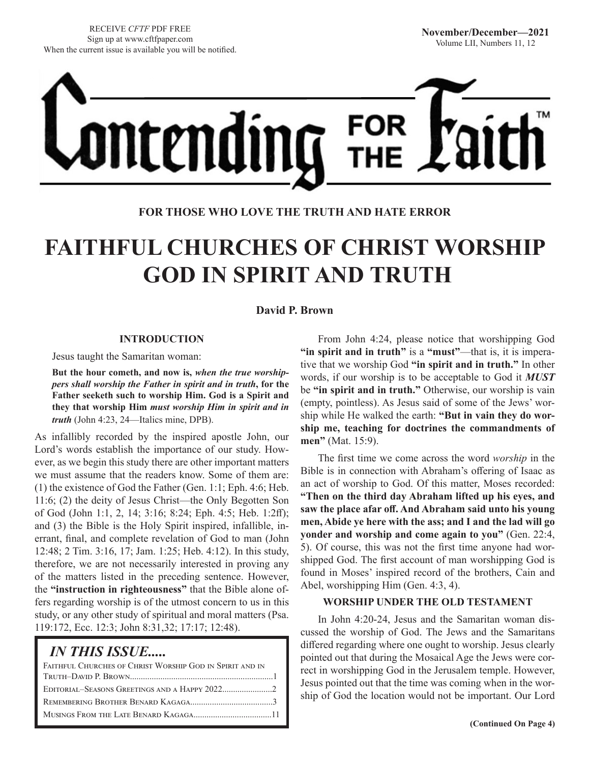

**FOR THOSE WHO LOVE THE TRUTH AND HATE ERROR**

# **FAITHFUL CHURCHES OF CHRIST WORSHIP GOD IN SPIRIT AND TRUTH**

**David P. Brown**

### **INTRODUCTION**

Jesus taught the Samaritan woman:

**But the hour cometh, and now is,** *when the true worshippers shall worship the Father in spirit and in truth***, for the Father seeketh such to worship Him. God is a Spirit and they that worship Him** *must worship Him in spirit and in truth* (John 4:23, 24—Italics mine, DPB).

As infallibly recorded by the inspired apostle John, our Lord's words establish the importance of our study. However, as we begin this study there are other important matters we must assume that the readers know. Some of them are: (1) the existence of God the Father (Gen. 1:1; Eph. 4:6; Heb. 11:6; (2) the deity of Jesus Christ—the Only Begotten Son of God (John 1:1, 2, 14; 3:16; 8:24; Eph. 4:5; Heb. 1:2ff); and (3) the Bible is the Holy Spirit inspired, infallible, inerrant, final, and complete revelation of God to man (John 12:48; 2 Tim. 3:16, 17; Jam. 1:25; Heb. 4:12). In this study, therefore, we are not necessarily interested in proving any of the matters listed in the preceding sentence. However, the **"instruction in righteousness"** that the Bible alone offers regarding worship is of the utmost concern to us in this study, or any other study of spiritual and moral matters (Psa. 119:172, Ecc. 12:3; John 8:31,32; 17:17; 12:48).

## *IN THIS ISSUE.....*

| FAITHFUL CHURCHES OF CHRIST WORSHIP GOD IN SPIRIT AND IN |  |
|----------------------------------------------------------|--|
|                                                          |  |
|                                                          |  |
|                                                          |  |
|                                                          |  |
|                                                          |  |

From John 4:24, please notice that worshipping God **"in spirit and in truth"** is a **"must"**—that is, it is imperative that we worship God **"in spirit and in truth."** In other words, if our worship is to be acceptable to God it *MUST* be **"in spirit and in truth."** Otherwise, our worship is vain (empty, pointless). As Jesus said of some of the Jews' worship while He walked the earth: **"But in vain they do worship me, teaching for doctrines the commandments of men**" (Mat. 15:9).

The first time we come across the word *worship* in the Bible is in connection with Abraham's offering of Isaac as an act of worship to God. Of this matter, Moses recorded: **"Then on the third day Abraham lifted up his eyes, and saw the place afar off. And Abraham said unto his young men, Abide ye here with the ass; and I and the lad will go yonder and worship and come again to you"** (Gen. 22:4, 5). Of course, this was not the first time anyone had worshipped God. The first account of man worshipping God is found in Moses' inspired record of the brothers, Cain and Abel, worshipping Him (Gen. 4:3, 4).

#### **WORSHIP UNDER THE OLD TESTAMENT**

In John 4:20-24, Jesus and the Samaritan woman discussed the worship of God. The Jews and the Samaritans differed regarding where one ought to worship. Jesus clearly pointed out that during the Mosaical Age the Jews were correct in worshipping God in the Jerusalem temple. However, Jesus pointed out that the time was coming when in the worship of God the location would not be important. Our Lord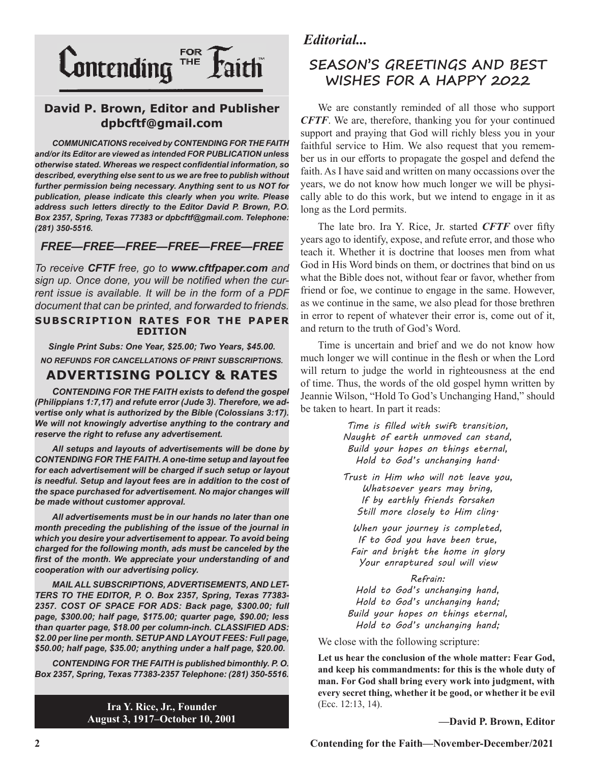

## **David P. Brown, Editor and Publisher dpbcftf@gmail.com**

*COMMUNICATIONS received by CONTENDING FOR THE FAITH and/or its Editor are viewed as intended FOR PUBLICATION unless otherwise stated. Whereas we respect confidential information, so described, everything else sent to us we are free to publish without further permission being necessary. Anything sent to us NOT for publication, please indicate this clearly when you write. Please address such letters directly to the Editor David P. Brown, P.O. Box 2357, Spring, Texas 77383 or dpbcftf@gmail.com. Telephone: (281) 350-5516.*

## *FREE—FREE—FREE—FREE—FREE—FREE*

*To receive CFTF free, go to www.cftfpaper.com and sign up. Once done, you will be notified when the current issue is available. It will be in the form of a PDF document that can be printed, and forwarded to friends.*

#### **SUBSCRIPTION RATES FOR THE PAPER EDITION**

*Single Print Subs: One Year, \$25.00; Two Years, \$45.00. NO REFUNDS FOR CANCELLATIONS OF PRINT SUBSCRIPTIONS.*

## **ADVERTISING POLICY & RATES**

*CONTENDING FOR THE FAITH exists to defend the gospel (Philippians 1:7,17) and refute error (Jude 3). Therefore, we advertise only what is authorized by the Bible (Colossians 3:17). We will not knowingly advertise anything to the contrary and reserve the right to refuse any advertisement.*

*All setups and layouts of advertisements will be done by CONTENDING FOR THE FAITH. A one-time setup and layout fee for each advertisement will be charged if such setup or layout*  is needful. Setup and layout fees are in addition to the cost of *the space purchased for advertisement. No major changes will be made without customer approval.*

*All advertisements must be in our hands no later than one month preceding the publishing of the issue of the journal in which you desire your advertisement to appear. To avoid being charged for the following month, ads must be canceled by the first of the month. We appreciate your understanding of and cooperation with our advertising policy.*

*MAIL ALL SUBSCRIPTIONS, ADVERTISEMENTS, AND LET-TERS TO THE EDITOR, P. O. Box 2357, Spring, Texas 77383- 2357. COST OF SPACE FOR ADS: Back page, \$300.00; full page, \$300.00; half page, \$175.00; quarter page, \$90.00; less than quarter page, \$18.00 per column-inch. CLASSIFIED ADS: \$2.00 per line per month. SETUP AND LAYOUT FEES: Full page, \$50.00; half page, \$35.00; anything under a half page, \$20.00.*

*CONTENDING FOR THE FAITH is published bimonthly. P. O. Box 2357, Spring, Texas 77383-2357 Telephone: (281) 350-5516.*

> **Ira Y. Rice, Jr., Founder August 3, 1917–October 10, 2001**

## *Editorial...*

## **SEASON'S GREETINGS AND BEST WISHES FOR A HAPPY 2022**

We are constantly reminded of all those who support *CFTF*. We are, therefore, thanking you for your continued support and praying that God will richly bless you in your faithful service to Him. We also request that you remember us in our efforts to propagate the gospel and defend the faith. As I have said and written on many occassions over the years, we do not know how much longer we will be physically able to do this work, but we intend to engage in it as long as the Lord permits.

The late bro. Ira Y. Rice, Jr. started *CFTF* over fifty years ago to identify, expose, and refute error, and those who teach it. Whether it is doctrine that looses men from what God in His Word binds on them, or doctrines that bind on us what the Bible does not, without fear or favor, whether from friend or foe, we continue to engage in the same. However, as we continue in the same, we also plead for those brethren in error to repent of whatever their error is, come out of it, and return to the truth of God's Word.

Time is uncertain and brief and we do not know how much longer we will continue in the flesh or when the Lord will return to judge the world in righteousness at the end of time. Thus, the words of the old gospel hymn written by Jeannie Wilson, "Hold To God's Unchanging Hand," should be taken to heart. In part it reads:

> *Time is filled with swift transition, Naught of earth unmoved can stand, Build your hopes on things eternal, Hold to God's unchanging hand.*

> *Trust in Him who will not leave you, Whatsoever years may bring, If by earthly friends forsaken Still more closely to Him cling.*

*When your journey is completed, If to God you have been true, Fair and bright the home in glory Your enraptured soul will view*

*Refrain: Hold to God's unchanging hand, Hold to God's unchanging hand; Build your hopes on things eternal, Hold to God's unchanging hand;*

We close with the following scripture:

**Let us hear the conclusion of the whole matter: Fear God, and keep his commandments: for this is the whole duty of man. For God shall bring every work into judgment, with every secret thing, whether it be good, or whether it be evil**  (Ecc. 12:13, 14).

**—David P. Brown, Editor**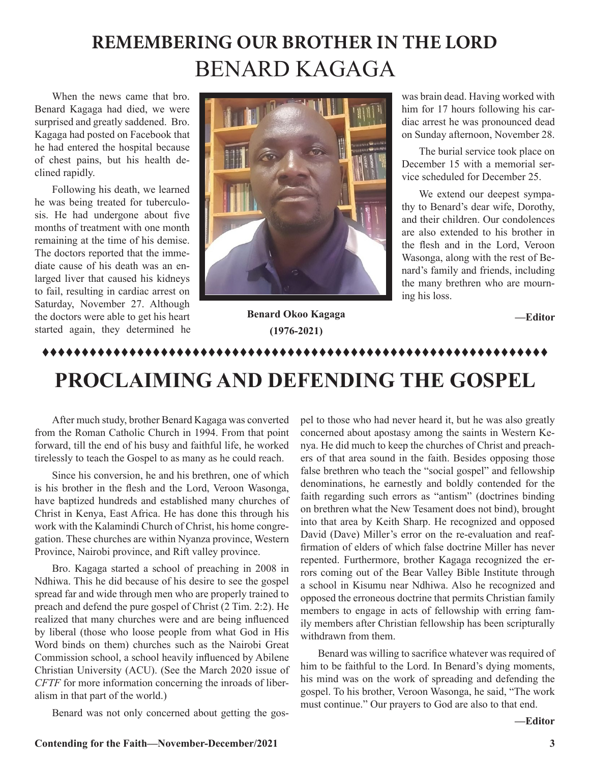# **REMEMBERING OUR BROTHER IN THE LORD** BENARD KAGAGA

When the news came that bro. Benard Kagaga had died, we were surprised and greatly saddened. Bro. Kagaga had posted on Facebook that he had entered the hospital because of chest pains, but his health declined rapidly.

Following his death, we learned he was being treated for tuberculosis. He had undergone about five months of treatment with one month remaining at the time of his demise. The doctors reported that the immediate cause of his death was an enlarged liver that caused his kidneys to fail, resulting in cardiac arrest on Saturday, November 27. Although the doctors were able to get his heart started again, they determined he



was brain dead. Having worked with him for 17 hours following his cardiac arrest he was pronounced dead on Sunday afternoon, November 28.

The burial service took place on December 15 with a memorial service scheduled for December 25.

We extend our deepest sympathy to Benard's dear wife, Dorothy, and their children. Our condolences are also extended to his brother in the flesh and in the Lord, Veroon Wasonga, along with the rest of Benard's family and friends, including the many brethren who are mourning his loss.

**—Editor**

## **Benard Okoo Kagaga (1976-2021)**

## tttttttttttttttttttttttttttttttttttttttttttttttttttttttttttttttt

# **PROCLAIMING AND DEFENDING THE GOSPEL**

After much study, brother Benard Kagaga was converted from the Roman Catholic Church in 1994. From that point forward, till the end of his busy and faithful life, he worked tirelessly to teach the Gospel to as many as he could reach.

Since his conversion, he and his brethren, one of which is his brother in the flesh and the Lord, Veroon Wasonga, have baptized hundreds and established many churches of Christ in Kenya, East Africa. He has done this through his work with the Kalamindi Church of Christ, his home congregation. These churches are within Nyanza province, Western Province, Nairobi province, and Rift valley province.

Bro. Kagaga started a school of preaching in 2008 in Ndhiwa. This he did because of his desire to see the gospel spread far and wide through men who are properly trained to preach and defend the pure gospel of Christ (2 Tim. 2:2). He realized that many churches were and are being influenced by liberal (those who loose people from what God in His Word binds on them) churches such as the Nairobi Great Commission school, a school heavily influenced by Abilene Christian University (ACU). (See the March 2020 issue of *CFTF* for more information concerning the inroads of liberalism in that part of the world.)

Benard was not only concerned about getting the gos-

pel to those who had never heard it, but he was also greatly concerned about apostasy among the saints in Western Kenya. He did much to keep the churches of Christ and preachers of that area sound in the faith. Besides opposing those false brethren who teach the "social gospel" and fellowship denominations, he earnestly and boldly contended for the faith regarding such errors as "antism" (doctrines binding on brethren what the New Tesament does not bind), brought into that area by Keith Sharp. He recognized and opposed David (Dave) Miller's error on the re-evaluation and reaffirmation of elders of which false doctrine Miller has never repented. Furthermore, brother Kagaga recognized the errors coming out of the Bear Valley Bible Institute through a school in Kisumu near Ndhiwa. Also he recognized and opposed the erroneous doctrine that permits Christian family members to engage in acts of fellowship with erring family members after Christian fellowship has been scripturally withdrawn from them.

Benard was willing to sacrifice whatever was required of him to be faithful to the Lord. In Benard's dying moments, his mind was on the work of spreading and defending the gospel. To his brother, Veroon Wasonga, he said, "The work must continue." Our prayers to God are also to that end.

**—Editor**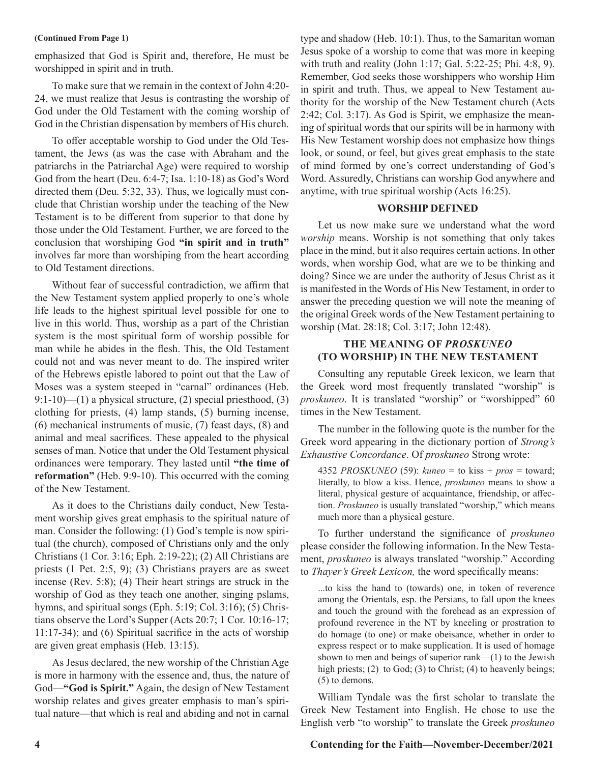#### **(Continued From Page 1)**

emphasized that God is Spirit and, therefore, He must be worshipped in spirit and in truth.

To make sure that we remain in the context of John 4:20- 24, we must realize that Jesus is contrasting the worship of God under the Old Testament with the coming worship of God in the Christian dispensation by members of His church.

To offer acceptable worship to God under the Old Testament, the Jews (as was the case with Abraham and the patriarchs in the Patriarchal Age) were required to worship God from the heart (Deu. 6:4-7; Isa. 1:10-18) as God's Word directed them (Deu. 5:32, 33). Thus, we logically must conclude that Christian worship under the teaching of the New Testament is to be different from superior to that done by those under the Old Testament. Further, we are forced to the conclusion that worshiping God **"in spirit and in truth"**  involves far more than worshiping from the heart according to Old Testament directions.

Without fear of successful contradiction, we affirm that the New Testament system applied properly to one's whole life leads to the highest spiritual level possible for one to live in this world. Thus, worship as a part of the Christian system is the most spiritual form of worship possible for man while he abides in the flesh. This, the Old Testament could not and was never meant to do. The inspired writer of the Hebrews epistle labored to point out that the Law of Moses was a system steeped in "carnal" ordinances (Heb. 9:1-10)—(1) a physical structure, (2) special priesthood, (3) clothing for priests, (4) lamp stands, (5) burning incense, (6) mechanical instruments of music, (7) feast days, (8) and animal and meal sacrifices. These appealed to the physical senses of man. Notice that under the Old Testament physical ordinances were temporary. They lasted until **"the time of reformation"** (Heb. 9:9-10). This occurred with the coming of the New Testament.

As it does to the Christians daily conduct, New Testament worship gives great emphasis to the spiritual nature of man. Consider the following: (1) God's temple is now spiritual (the church), composed of Christians only and the only Christians (1 Cor. 3:16; Eph. 2:19-22); (2) All Christians are priests (1 Pet. 2:5, 9); (3) Christians prayers are as sweet incense (Rev. 5:8); (4) Their heart strings are struck in the worship of God as they teach one another, singing pslams, hymns, and spiritual songs (Eph. 5:19; Col. 3:16); (5) Christians observe the Lord's Supper (Acts 20:7; 1 Cor. 10:16-17; 11:17-34); and (6) Spiritual sacrifice in the acts of worship are given great emphasis (Heb. 13:15).

As Jesus declared, the new worship of the Christian Age is more in harmony with the essence and, thus, the nature of God—**"God is Spirit."** Again, the design of New Testament worship relates and gives greater emphasis to man's spiritual nature—that which is real and abiding and not in carnal

type and shadow (Heb. 10:1). Thus, to the Samaritan woman Jesus spoke of a worship to come that was more in keeping with truth and reality (John 1:17; Gal. 5:22-25; Phi. 4:8, 9). Remember, God seeks those worshippers who worship Him in spirit and truth. Thus, we appeal to New Testament authority for the worship of the New Testament church (Acts 2:42; Col. 3:17). As God is Spirit, we emphasize the meaning of spiritual words that our spirits will be in harmony with His New Testament worship does not emphasize how things look, or sound, or feel, but gives great emphasis to the state of mind formed by one's correct understanding of God's Word. Assuredly, Christians can worship God anywhere and anytime, with true spiritual worship (Acts 16:25).

#### **WORSHIP DEFINED**

Let us now make sure we understand what the word *worship* means. Worship is not something that only takes place in the mind, but it also requires certain actions. In other words, when worship God, what are we to be thinking and doing? Since we are under the authority of Jesus Christ as it is manifested in the Words of His New Testament, in order to answer the preceding question we will note the meaning of the original Greek words of the New Testament pertaining to worship (Mat. 28:18; Col. 3:17; John 12:48).

## **THE MEANING OF** *PROSKUNEO* **(TO WORSHIP) IN THE NEW TESTAMENT**

Consulting any reputable Greek lexicon, we learn that the Greek word most frequently translated "worship" is *proskuneo*. It is translated "worship" or "worshipped" 60 times in the New Testament.

The number in the following quote is the number for the Greek word appearing in the dictionary portion of *Strong's Exhaustive Concordance*. Of *proskuneo* Strong wrote:

4352 *PROSKUNEO* (59): *kuneo* = to kiss + *pros* = toward; literally, to blow a kiss. Hence, *proskuneo* means to show a literal, physical gesture of acquaintance, friendship, or affection. *Proskuneo* is usually translated "worship," which means much more than a physical gesture.

To further understand the significance of *proskuneo* please consider the following information. In the New Testament, *proskuneo* is always translated "worship." According to *Thayer's Greek Lexicon,* the word specifically means:

...to kiss the hand to (towards) one, in token of reverence among the Orientals, esp. the Persians, to fall upon the knees and touch the ground with the forehead as an expression of profound reverence in the NT by kneeling or prostration to do homage (to one) or make obeisance, whether in order to express respect or to make supplication. It is used of homage shown to men and beings of superior rank—(1) to the Jewish high priests; (2) to God; (3) to Christ; (4) to heavenly beings; (5) to demons.

William Tyndale was the first scholar to translate the Greek New Testament into English. He chose to use the English verb "to worship" to translate the Greek *proskuneo* 

## **4 Contending for the Faith—November-December/2021**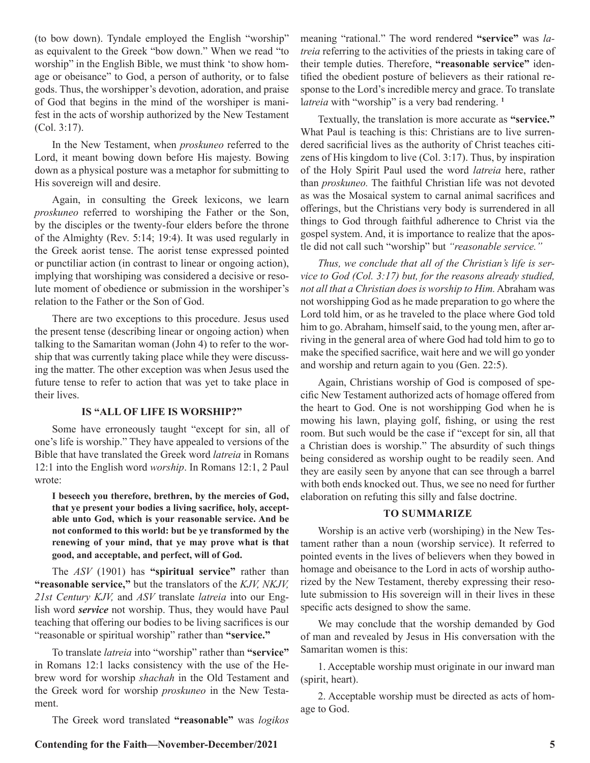(to bow down). Tyndale employed the English "worship" as equivalent to the Greek "bow down." When we read "to worship" in the English Bible, we must think 'to show homage or obeisance" to God, a person of authority, or to false gods. Thus, the worshipper's devotion, adoration, and praise of God that begins in the mind of the worshiper is manifest in the acts of worship authorized by the New Testament (Col. 3:17).

In the New Testament, when *proskuneo* referred to the Lord, it meant bowing down before His majesty. Bowing down as a physical posture was a metaphor for submitting to His sovereign will and desire.

Again, in consulting the Greek lexicons, we learn *proskuneo* referred to worshiping the Father or the Son, by the disciples or the twenty-four elders before the throne of the Almighty (Rev. 5:14; 19:4). It was used regularly in the Greek aorist tense. The aorist tense expressed pointed or punctiliar action (in contrast to linear or ongoing action), implying that worshiping was considered a decisive or resolute moment of obedience or submission in the worshiper's relation to the Father or the Son of God.

There are two exceptions to this procedure. Jesus used the present tense (describing linear or ongoing action) when talking to the Samaritan woman (John 4) to refer to the worship that was currently taking place while they were discussing the matter. The other exception was when Jesus used the future tense to refer to action that was yet to take place in their lives.

#### **IS "ALL OF LIFE IS WORSHIP?"**

Some have erroneously taught "except for sin, all of one's life is worship." They have appealed to versions of the Bible that have translated the Greek word *latreia* in Romans 12:1 into the English word *worship*. In Romans 12:1, 2 Paul wrote:

**I beseech you therefore, brethren, by the mercies of God, that ye present your bodies a living sacrifice, holy, acceptable unto God, which is your reasonable service. And be not conformed to this world: but be ye transformed by the renewing of your mind, that ye may prove what is that good, and acceptable, and perfect, will of God.**

The *ASV* (1901) has **"spiritual service"** rather than **"reasonable service,"** but the translators of the *KJV, NKJV, 21st Century KJV,* and *ASV* translate *latreia* into our English word *service* not worship. Thus, they would have Paul teaching that offering our bodies to be living sacrifices is our "reasonable or spiritual worship" rather than **"service."**

To translate *latreia* into "worship" rather than **"service"**  in Romans 12:1 lacks consistency with the use of the Hebrew word for worship *shachah* in the Old Testament and the Greek word for worship *proskuneo* in the New Testament.

The Greek word translated **"reasonable"** was *logikos* 

meaning "rational." The word rendered **"service"** was *latreia* referring to the activities of the priests in taking care of their temple duties. Therefore, **"reasonable service"** identified the obedient posture of believers as their rational response to the Lord's incredible mercy and grace. To translate l*atreia* with "worship" is a very bad rendering. **<sup>1</sup>**

Textually, the translation is more accurate as **"service."** What Paul is teaching is this: Christians are to live surrendered sacrificial lives as the authority of Christ teaches citizens of His kingdom to live (Col. 3:17). Thus, by inspiration of the Holy Spirit Paul used the word *latreia* here, rather than *proskuneo.* The faithful Christian life was not devoted as was the Mosaical system to carnal animal sacrifices and offerings, but the Christians very body is surrendered in all things to God through faithful adherence to Christ via the gospel system. And, it is importance to realize that the apostle did not call such "worship" but *"reasonable service."*

*Thus, we conclude that all of the Christian's life is service to God (Col. 3:17) but, for the reasons already studied, not all that a Christian does is worship to Him.* Abraham was not worshipping God as he made preparation to go where the Lord told him, or as he traveled to the place where God told him to go. Abraham, himself said, to the young men, after arriving in the general area of where God had told him to go to make the specified sacrifice, wait here and we will go yonder and worship and return again to you (Gen. 22:5).

Again, Christians worship of God is composed of specific New Testament authorized acts of homage offered from the heart to God. One is not worshipping God when he is mowing his lawn, playing golf, fishing, or using the rest room. But such would be the case if "except for sin, all that a Christian does is worship." The absurdity of such things being considered as worship ought to be readily seen. And they are easily seen by anyone that can see through a barrel with both ends knocked out. Thus, we see no need for further elaboration on refuting this silly and false doctrine.

#### **TO SUMMARIZE**

Worship is an active verb (worshiping) in the New Testament rather than a noun (worship service). It referred to pointed events in the lives of believers when they bowed in homage and obeisance to the Lord in acts of worship authorized by the New Testament, thereby expressing their resolute submission to His sovereign will in their lives in these specific acts designed to show the same.

We may conclude that the worship demanded by God of man and revealed by Jesus in His conversation with the Samaritan women is this:

1. Acceptable worship must originate in our inward man (spirit, heart).

2. Acceptable worship must be directed as acts of homage to God.

#### **Contending for the Faith—November-December/2021 5**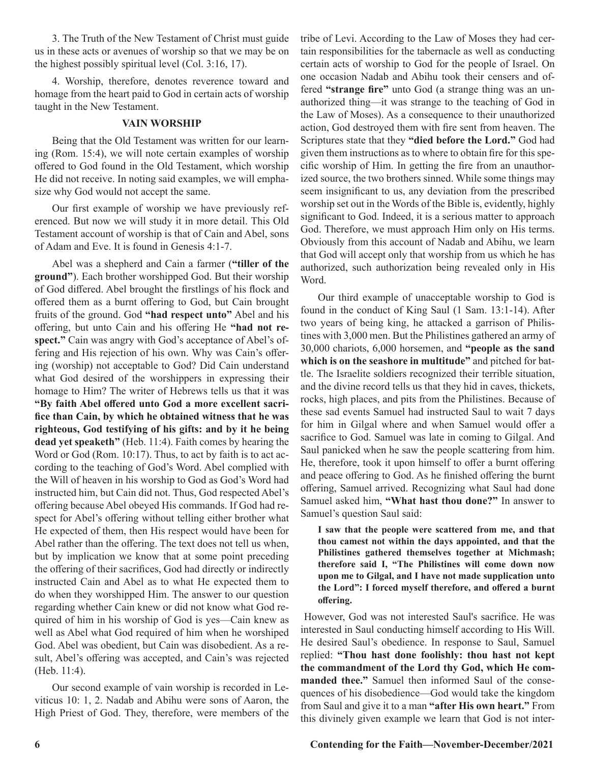3. The Truth of the New Testament of Christ must guide us in these acts or avenues of worship so that we may be on the highest possibly spiritual level (Col. 3:16, 17).

4. Worship, therefore, denotes reverence toward and homage from the heart paid to God in certain acts of worship taught in the New Testament.

#### **VAIN WORSHIP**

Being that the Old Testament was written for our learning (Rom. 15:4), we will note certain examples of worship offered to God found in the Old Testament, which worship He did not receive. In noting said examples, we will emphasize why God would not accept the same.

Our first example of worship we have previously referenced. But now we will study it in more detail. This Old Testament account of worship is that of Cain and Abel, sons of Adam and Eve. It is found in Genesis 4:1-7.

Abel was a shepherd and Cain a farmer (**"tiller of the ground"**). Each brother worshipped God. But their worship of God differed. Abel brought the firstlings of his flock and offered them as a burnt offering to God, but Cain brought fruits of the ground. God **"had respect unto"** Abel and his offering, but unto Cain and his offering He **"had not respect."** Cain was angry with God's acceptance of Abel's offering and His rejection of his own. Why was Cain's offering (worship) not acceptable to God? Did Cain understand what God desired of the worshippers in expressing their homage to Him? The writer of Hebrews tells us that it was **"By faith Abel offered unto God a more excellent sacrifice than Cain, by which he obtained witness that he was righteous, God testifying of his gifts: and by it he being dead yet speaketh"** (Heb. 11:4). Faith comes by hearing the Word or God (Rom. 10:17). Thus, to act by faith is to act according to the teaching of God's Word. Abel complied with the Will of heaven in his worship to God as God's Word had instructed him, but Cain did not. Thus, God respected Abel's offering because Abel obeyed His commands. If God had respect for Abel's offering without telling either brother what He expected of them, then His respect would have been for Abel rather than the offering. The text does not tell us when, but by implication we know that at some point preceding the offering of their sacrifices, God had directly or indirectly instructed Cain and Abel as to what He expected them to do when they worshipped Him. The answer to our question regarding whether Cain knew or did not know what God required of him in his worship of God is yes—Cain knew as well as Abel what God required of him when he worshiped God. Abel was obedient, but Cain was disobedient. As a result, Abel's offering was accepted, and Cain's was rejected (Heb. 11:4).

Our second example of vain worship is recorded in Leviticus 10: 1, 2. Nadab and Abihu were sons of Aaron, the High Priest of God. They, therefore, were members of the tribe of Levi. According to the Law of Moses they had certain responsibilities for the tabernacle as well as conducting certain acts of worship to God for the people of Israel. On one occasion Nadab and Abihu took their censers and offered **"strange fire"** unto God (a strange thing was an unauthorized thing—it was strange to the teaching of God in the Law of Moses). As a consequence to their unauthorized action, God destroyed them with fire sent from heaven. The Scriptures state that they **"died before the Lord."** God had given them instructions as to where to obtain fire for this specific worship of Him. In getting the fire from an unauthorized source, the two brothers sinned. While some things may seem insignificant to us, any deviation from the prescribed worship set out in the Words of the Bible is, evidently, highly significant to God. Indeed, it is a serious matter to approach God. Therefore, we must approach Him only on His terms. Obviously from this account of Nadab and Abihu, we learn that God will accept only that worship from us which he has authorized, such authorization being revealed only in His Word.

Our third example of unacceptable worship to God is found in the conduct of King Saul (1 Sam. 13:1-14). After two years of being king, he attacked a garrison of Philistines with 3,000 men. But the Philistines gathered an army of 30,000 chariots, 6,000 horsemen, and **"people as the sand which is on the seashore in multitude"** and pitched for battle. The Israelite soldiers recognized their terrible situation, and the divine record tells us that they hid in caves, thickets, rocks, high places, and pits from the Philistines. Because of these sad events Samuel had instructed Saul to wait 7 days for him in Gilgal where and when Samuel would offer a sacrifice to God. Samuel was late in coming to Gilgal. And Saul panicked when he saw the people scattering from him. He, therefore, took it upon himself to offer a burnt offering and peace offering to God. As he finished offering the burnt offering, Samuel arrived. Recognizing what Saul had done Samuel asked him, **"What hast thou done?"** In answer to Samuel's question Saul said:

**I saw that the people were scattered from me, and that thou camest not within the days appointed, and that the Philistines gathered themselves together at Michmash; therefore said I, "The Philistines will come down now upon me to Gilgal, and I have not made supplication unto the Lord": I forced myself therefore, and offered a burnt offering.**

However, God was not interested Saul's sacrifice. He was interested in Saul conducting himself according to His Will. He desired Saul's obedience. In response to Saul, Samuel replied: **"Thou hast done foolishly: thou hast not kept the commandment of the Lord thy God, which He commanded thee."** Samuel then informed Saul of the consequences of his disobedience—God would take the kingdom from Saul and give it to a man **"after His own heart."** From this divinely given example we learn that God is not inter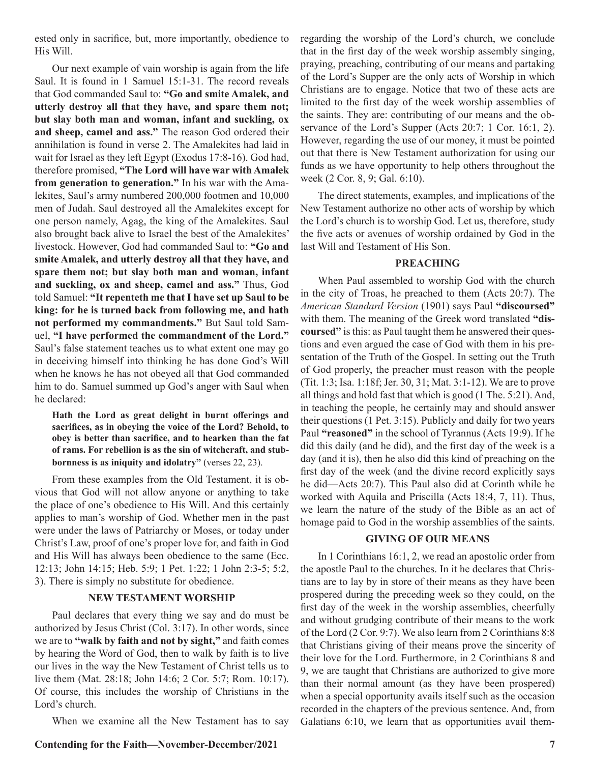ested only in sacrifice, but, more importantly, obedience to His Will.

Our next example of vain worship is again from the life Saul. It is found in 1 Samuel 15:1-31. The record reveals that God commanded Saul to: **"Go and smite Amalek, and utterly destroy all that they have, and spare them not; but slay both man and woman, infant and suckling, ox and sheep, camel and ass."** The reason God ordered their annihilation is found in verse 2. The Amalekites had laid in wait for Israel as they left Egypt (Exodus 17:8-16). God had, therefore promised, **"The Lord will have war with Amalek from generation to generation."** In his war with the Amalekites, Saul's army numbered 200,000 footmen and 10,000 men of Judah. Saul destroyed all the Amalekites except for one person namely, Agag, the king of the Amalekites. Saul also brought back alive to Israel the best of the Amalekites' livestock. However, God had commanded Saul to: **"Go and smite Amalek, and utterly destroy all that they have, and spare them not; but slay both man and woman, infant and suckling, ox and sheep, camel and ass."** Thus, God told Samuel: **"It repenteth me that I have set up Saul to be king: for he is turned back from following me, and hath not performed my commandments."** But Saul told Samuel, **"I have performed the commandment of the Lord."**  Saul's false statement teaches us to what extent one may go in deceiving himself into thinking he has done God's Will when he knows he has not obeyed all that God commanded him to do. Samuel summed up God's anger with Saul when he declared:

**Hath the Lord as great delight in burnt offerings and sacrifices, as in obeying the voice of the Lord? Behold, to obey is better than sacrifice, and to hearken than the fat of rams. For rebellion is as the sin of witchcraft, and stubbornness is as iniquity and idolatry"** (verses 22, 23).

From these examples from the Old Testament, it is obvious that God will not allow anyone or anything to take the place of one's obedience to His Will. And this certainly applies to man's worship of God. Whether men in the past were under the laws of Patriarchy or Moses, or today under Christ's Law, proof of one's proper love for, and faith in God and His Will has always been obedience to the same (Ecc. 12:13; John 14:15; Heb. 5:9; 1 Pet. 1:22; 1 John 2:3-5; 5:2, 3). There is simply no substitute for obedience.

#### **NEW TESTAMENT WORSHIP**

Paul declares that every thing we say and do must be authorized by Jesus Christ (Col. 3:17). In other words, since we are to **"walk by faith and not by sight,"** and faith comes by hearing the Word of God, then to walk by faith is to live our lives in the way the New Testament of Christ tells us to live them (Mat. 28:18; John 14:6; 2 Cor. 5:7; Rom. 10:17). Of course, this includes the worship of Christians in the Lord's church.

When we examine all the New Testament has to say

**Contending for the Faith—November-December/2021 7**

regarding the worship of the Lord's church, we conclude that in the first day of the week worship assembly singing, praying, preaching, contributing of our means and partaking of the Lord's Supper are the only acts of Worship in which Christians are to engage. Notice that two of these acts are limited to the first day of the week worship assemblies of the saints. They are: contributing of our means and the observance of the Lord's Supper (Acts 20:7; 1 Cor. 16:1, 2). However, regarding the use of our money, it must be pointed out that there is New Testament authorization for using our funds as we have opportunity to help others throughout the week (2 Cor. 8, 9; Gal. 6:10).

The direct statements, examples, and implications of the New Testament authorize no other acts of worship by which the Lord's church is to worship God. Let us, therefore, study the five acts or avenues of worship ordained by God in the last Will and Testament of His Son.

#### **PREACHING**

When Paul assembled to worship God with the church in the city of Troas, he preached to them (Acts 20:7). The *American Standard Version* (1901) says Paul **"discoursed"**  with them. The meaning of the Greek word translated **"discoursed"** is this: as Paul taught them he answered their questions and even argued the case of God with them in his presentation of the Truth of the Gospel. In setting out the Truth of God properly, the preacher must reason with the people (Tit. 1:3; Isa. 1:18f; Jer. 30, 31; Mat. 3:1-12). We are to prove all things and hold fast that which is good (1 The. 5:21). And, in teaching the people, he certainly may and should answer their questions (1 Pet. 3:15). Publicly and daily for two years Paul **"reasoned"** in the school of Tyrannus (Acts 19:9). If he did this daily (and he did), and the first day of the week is a day (and it is), then he also did this kind of preaching on the first day of the week (and the divine record explicitly says he did—Acts 20:7). This Paul also did at Corinth while he worked with Aquila and Priscilla (Acts 18:4, 7, 11). Thus, we learn the nature of the study of the Bible as an act of homage paid to God in the worship assemblies of the saints.

#### **GIVING OF OUR MEANS**

In 1 Corinthians 16:1, 2, we read an apostolic order from the apostle Paul to the churches. In it he declares that Christians are to lay by in store of their means as they have been prospered during the preceding week so they could, on the first day of the week in the worship assemblies, cheerfully and without grudging contribute of their means to the work of the Lord (2 Cor. 9:7). We also learn from 2 Corinthians 8:8 that Christians giving of their means prove the sincerity of their love for the Lord. Furthermore, in 2 Corinthians 8 and 9, we are taught that Christians are authorized to give more than their normal amount (as they have been prospered) when a special opportunity avails itself such as the occasion recorded in the chapters of the previous sentence. And, from Galatians 6:10, we learn that as opportunities avail them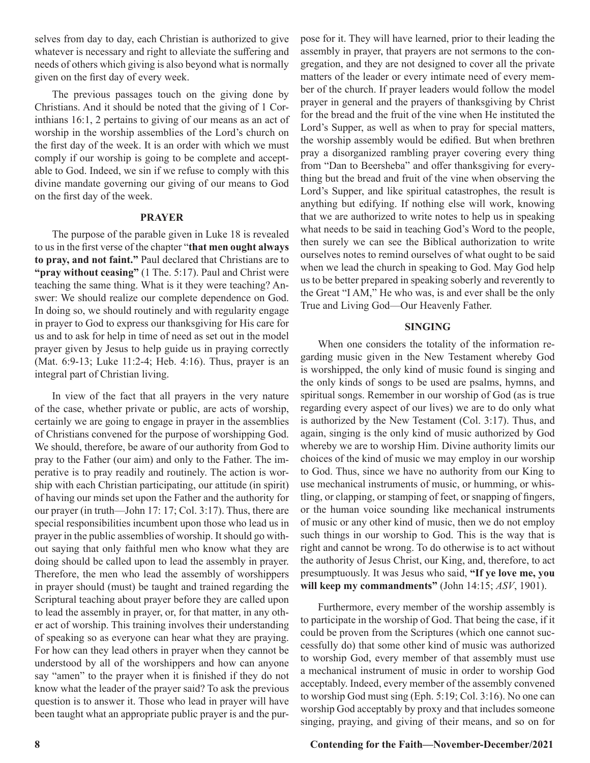selves from day to day, each Christian is authorized to give whatever is necessary and right to alleviate the suffering and needs of others which giving is also beyond what is normally given on the first day of every week.

The previous passages touch on the giving done by Christians. And it should be noted that the giving of 1 Corinthians 16:1, 2 pertains to giving of our means as an act of worship in the worship assemblies of the Lord's church on the first day of the week. It is an order with which we must comply if our worship is going to be complete and acceptable to God. Indeed, we sin if we refuse to comply with this divine mandate governing our giving of our means to God on the first day of the week.

#### **PRAYER**

The purpose of the parable given in Luke 18 is revealed to us in the first verse of the chapter "**that men ought always to pray, and not faint."** Paul declared that Christians are to **"pray without ceasing"** (1 The. 5:17). Paul and Christ were teaching the same thing. What is it they were teaching? Answer: We should realize our complete dependence on God. In doing so, we should routinely and with regularity engage in prayer to God to express our thanksgiving for His care for us and to ask for help in time of need as set out in the model prayer given by Jesus to help guide us in praying correctly (Mat. 6:9-13; Luke 11:2-4; Heb. 4:16). Thus, prayer is an integral part of Christian living.

In view of the fact that all prayers in the very nature of the case, whether private or public, are acts of worship, certainly we are going to engage in prayer in the assemblies of Christians convened for the purpose of worshipping God. We should, therefore, be aware of our authority from God to pray to the Father (our aim) and only to the Father. The imperative is to pray readily and routinely. The action is worship with each Christian participating, our attitude (in spirit) of having our minds set upon the Father and the authority for our prayer (in truth—John 17: 17; Col. 3:17). Thus, there are special responsibilities incumbent upon those who lead us in prayer in the public assemblies of worship. It should go without saying that only faithful men who know what they are doing should be called upon to lead the assembly in prayer. Therefore, the men who lead the assembly of worshippers in prayer should (must) be taught and trained regarding the Scriptural teaching about prayer before they are called upon to lead the assembly in prayer, or, for that matter, in any other act of worship. This training involves their understanding of speaking so as everyone can hear what they are praying. For how can they lead others in prayer when they cannot be understood by all of the worshippers and how can anyone say "amen" to the prayer when it is finished if they do not know what the leader of the prayer said? To ask the previous question is to answer it. Those who lead in prayer will have been taught what an appropriate public prayer is and the purpose for it. They will have learned, prior to their leading the assembly in prayer, that prayers are not sermons to the congregation, and they are not designed to cover all the private matters of the leader or every intimate need of every member of the church. If prayer leaders would follow the model prayer in general and the prayers of thanksgiving by Christ for the bread and the fruit of the vine when He instituted the Lord's Supper, as well as when to pray for special matters, the worship assembly would be edified. But when brethren pray a disorganized rambling prayer covering every thing from "Dan to Beersheba" and offer thanksgiving for everything but the bread and fruit of the vine when observing the Lord's Supper, and like spiritual catastrophes, the result is anything but edifying. If nothing else will work, knowing that we are authorized to write notes to help us in speaking what needs to be said in teaching God's Word to the people, then surely we can see the Biblical authorization to write ourselves notes to remind ourselves of what ought to be said when we lead the church in speaking to God. May God help us to be better prepared in speaking soberly and reverently to the Great "I AM," He who was, is and ever shall be the only True and Living God—Our Heavenly Father.

#### **SINGING**

When one considers the totality of the information regarding music given in the New Testament whereby God is worshipped, the only kind of music found is singing and the only kinds of songs to be used are psalms, hymns, and spiritual songs. Remember in our worship of God (as is true regarding every aspect of our lives) we are to do only what is authorized by the New Testament (Col. 3:17). Thus, and again, singing is the only kind of music authorized by God whereby we are to worship Him. Divine authority limits our choices of the kind of music we may employ in our worship to God. Thus, since we have no authority from our King to use mechanical instruments of music, or humming, or whistling, or clapping, or stamping of feet, or snapping of fingers, or the human voice sounding like mechanical instruments of music or any other kind of music, then we do not employ such things in our worship to God. This is the way that is right and cannot be wrong. To do otherwise is to act without the authority of Jesus Christ, our King, and, therefore, to act presumptuously. It was Jesus who said, **"If ye love me, you will keep my commandments"** (John 14:15; *ASV*, 1901).

Furthermore, every member of the worship assembly is to participate in the worship of God. That being the case, if it could be proven from the Scriptures (which one cannot successfully do) that some other kind of music was authorized to worship God, every member of that assembly must use a mechanical instrument of music in order to worship God acceptably. Indeed, every member of the assembly convened to worship God must sing (Eph. 5:19; Col. 3:16). No one can worship God acceptably by proxy and that includes someone singing, praying, and giving of their means, and so on for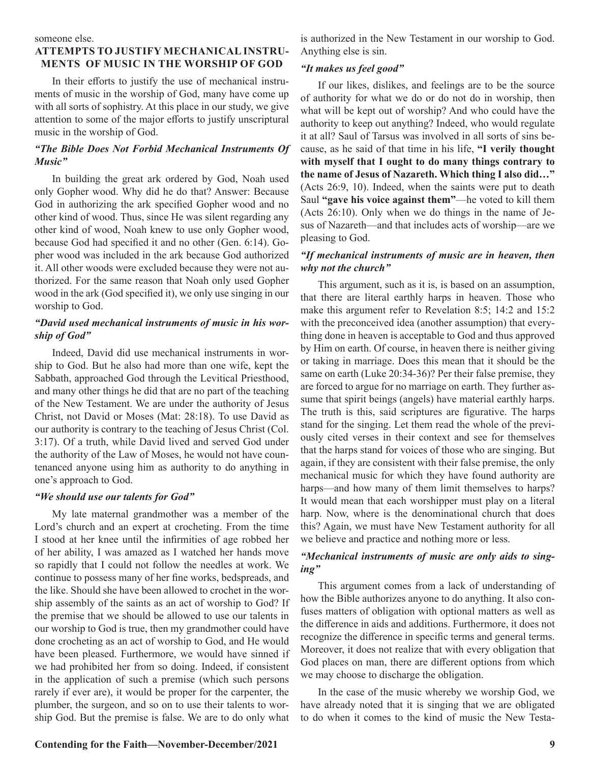#### someone else.

### **ATTEMPTS TO JUSTIFY MECHANICAL INSTRU-MENTS OF MUSIC IN THE WORSHIP OF GOD**

In their efforts to justify the use of mechanical instruments of music in the worship of God, many have come up with all sorts of sophistry. At this place in our study, we give attention to some of the major efforts to justify unscriptural music in the worship of God.

#### *"The Bible Does Not Forbid Mechanical Instruments Of Music"*

In building the great ark ordered by God, Noah used only Gopher wood. Why did he do that? Answer: Because God in authorizing the ark specified Gopher wood and no other kind of wood. Thus, since He was silent regarding any other kind of wood, Noah knew to use only Gopher wood, because God had specified it and no other (Gen. 6:14). Gopher wood was included in the ark because God authorized it. All other woods were excluded because they were not authorized. For the same reason that Noah only used Gopher wood in the ark (God specified it), we only use singing in our worship to God.

#### *"David used mechanical instruments of music in his worship of God"*

Indeed, David did use mechanical instruments in worship to God. But he also had more than one wife, kept the Sabbath, approached God through the Levitical Priesthood, and many other things he did that are no part of the teaching of the New Testament. We are under the authority of Jesus Christ, not David or Moses (Mat: 28:18). To use David as our authority is contrary to the teaching of Jesus Christ (Col. 3:17). Of a truth, while David lived and served God under the authority of the Law of Moses, he would not have countenanced anyone using him as authority to do anything in one's approach to God.

#### *"We should use our talents for God"*

My late maternal grandmother was a member of the Lord's church and an expert at crocheting. From the time I stood at her knee until the infirmities of age robbed her of her ability, I was amazed as I watched her hands move so rapidly that I could not follow the needles at work. We continue to possess many of her fine works, bedspreads, and the like. Should she have been allowed to crochet in the worship assembly of the saints as an act of worship to God? If the premise that we should be allowed to use our talents in our worship to God is true, then my grandmother could have done crocheting as an act of worship to God, and He would have been pleased. Furthermore, we would have sinned if we had prohibited her from so doing. Indeed, if consistent in the application of such a premise (which such persons rarely if ever are), it would be proper for the carpenter, the plumber, the surgeon, and so on to use their talents to worship God. But the premise is false. We are to do only what

is authorized in the New Testament in our worship to God. Anything else is sin.

#### *"It makes us feel good"*

If our likes, dislikes, and feelings are to be the source of authority for what we do or do not do in worship, then what will be kept out of worship? And who could have the authority to keep out anything? Indeed, who would regulate it at all? Saul of Tarsus was involved in all sorts of sins because, as he said of that time in his life, **"I verily thought with myself that I ought to do many things contrary to the name of Jesus of Nazareth. Which thing I also did…"** (Acts 26:9, 10). Indeed, when the saints were put to death Saul **"gave his voice against them"**—he voted to kill them (Acts 26:10). Only when we do things in the name of Jesus of Nazareth—and that includes acts of worship—are we pleasing to God.

## *"If mechanical instruments of music are in heaven, then why not the church"*

This argument, such as it is, is based on an assumption, that there are literal earthly harps in heaven. Those who make this argument refer to Revelation 8:5; 14:2 and 15:2 with the preconceived idea (another assumption) that everything done in heaven is acceptable to God and thus approved by Him on earth. Of course, in heaven there is neither giving or taking in marriage. Does this mean that it should be the same on earth (Luke 20:34-36)? Per their false premise, they are forced to argue for no marriage on earth. They further assume that spirit beings (angels) have material earthly harps. The truth is this, said scriptures are figurative. The harps stand for the singing. Let them read the whole of the previously cited verses in their context and see for themselves that the harps stand for voices of those who are singing. But again, if they are consistent with their false premise, the only mechanical music for which they have found authority are harps—and how many of them limit themselves to harps? It would mean that each worshipper must play on a literal harp. Now, where is the denominational church that does this? Again, we must have New Testament authority for all we believe and practice and nothing more or less.

#### *"Mechanical instruments of music are only aids to singing"*

This argument comes from a lack of understanding of how the Bible authorizes anyone to do anything. It also confuses matters of obligation with optional matters as well as the difference in aids and additions. Furthermore, it does not recognize the difference in specific terms and general terms. Moreover, it does not realize that with every obligation that God places on man, there are different options from which we may choose to discharge the obligation.

In the case of the music whereby we worship God, we have already noted that it is singing that we are obligated to do when it comes to the kind of music the New Testa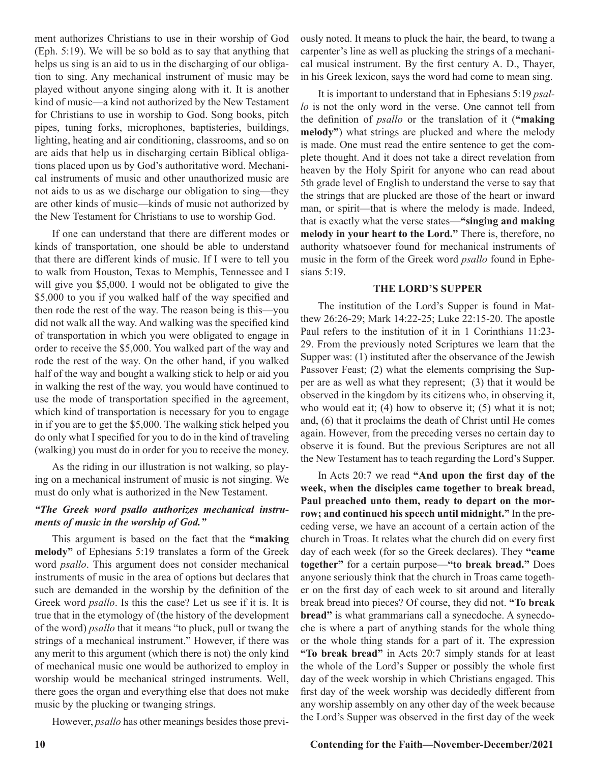ment authorizes Christians to use in their worship of God (Eph. 5:19). We will be so bold as to say that anything that helps us sing is an aid to us in the discharging of our obligation to sing. Any mechanical instrument of music may be played without anyone singing along with it. It is another kind of music—a kind not authorized by the New Testament for Christians to use in worship to God. Song books, pitch pipes, tuning forks, microphones, baptisteries, buildings, lighting, heating and air conditioning, classrooms, and so on are aids that help us in discharging certain Biblical obligations placed upon us by God's authoritative word. Mechanical instruments of music and other unauthorized music are not aids to us as we discharge our obligation to sing—they are other kinds of music—kinds of music not authorized by the New Testament for Christians to use to worship God.

If one can understand that there are different modes or kinds of transportation, one should be able to understand that there are different kinds of music. If I were to tell you to walk from Houston, Texas to Memphis, Tennessee and I will give you \$5,000. I would not be obligated to give the \$5,000 to you if you walked half of the way specified and then rode the rest of the way. The reason being is this—you did not walk all the way. And walking was the specified kind of transportation in which you were obligated to engage in order to receive the \$5,000. You walked part of the way and rode the rest of the way. On the other hand, if you walked half of the way and bought a walking stick to help or aid you in walking the rest of the way, you would have continued to use the mode of transportation specified in the agreement, which kind of transportation is necessary for you to engage in if you are to get the \$5,000. The walking stick helped you do only what I specified for you to do in the kind of traveling (walking) you must do in order for you to receive the money.

As the riding in our illustration is not walking, so playing on a mechanical instrument of music is not singing. We must do only what is authorized in the New Testament.

#### *"The Greek word psallo authorizes mechanical instruments of music in the worship of God."*

This argument is based on the fact that the **"making melody"** of Ephesians 5:19 translates a form of the Greek word *psallo*. This argument does not consider mechanical instruments of music in the area of options but declares that such are demanded in the worship by the definition of the Greek word *psallo*. Is this the case? Let us see if it is. It is true that in the etymology of (the history of the development of the word) *psallo* that it means "to pluck, pull or twang the strings of a mechanical instrument." However, if there was any merit to this argument (which there is not) the only kind of mechanical music one would be authorized to employ in worship would be mechanical stringed instruments. Well, there goes the organ and everything else that does not make music by the plucking or twanging strings.

However, *psallo* has other meanings besides those previ-

ously noted. It means to pluck the hair, the beard, to twang a carpenter's line as well as plucking the strings of a mechanical musical instrument. By the first century A. D., Thayer, in his Greek lexicon, says the word had come to mean sing.

It is important to understand that in Ephesians 5:19 *psallo* is not the only word in the verse. One cannot tell from the definition of *psallo* or the translation of it (**"making melody"**) what strings are plucked and where the melody is made. One must read the entire sentence to get the complete thought. And it does not take a direct revelation from heaven by the Holy Spirit for anyone who can read about 5th grade level of English to understand the verse to say that the strings that are plucked are those of the heart or inward man, or spirit—that is where the melody is made. Indeed, that is exactly what the verse states—**"singing and making melody in your heart to the Lord."** There is, therefore, no authority whatsoever found for mechanical instruments of music in the form of the Greek word *psallo* found in Ephesians 5:19.

#### **THE LORD'S SUPPER**

The institution of the Lord's Supper is found in Matthew 26:26-29; Mark 14:22-25; Luke 22:15-20. The apostle Paul refers to the institution of it in 1 Corinthians 11:23- 29. From the previously noted Scriptures we learn that the Supper was: (1) instituted after the observance of the Jewish Passover Feast; (2) what the elements comprising the Supper are as well as what they represent; (3) that it would be observed in the kingdom by its citizens who, in observing it, who would eat it;  $(4)$  how to observe it;  $(5)$  what it is not; and, (6) that it proclaims the death of Christ until He comes again. However, from the preceding verses no certain day to observe it is found. But the previous Scriptures are not all the New Testament has to teach regarding the Lord's Supper.

In Acts 20:7 we read **"And upon the first day of the week, when the disciples came together to break bread, Paul preached unto them, ready to depart on the morrow; and continued his speech until midnight."** In the preceding verse, we have an account of a certain action of the church in Troas. It relates what the church did on every first day of each week (for so the Greek declares). They **"came together"** for a certain purpose—**"to break bread."** Does anyone seriously think that the church in Troas came together on the first day of each week to sit around and literally break bread into pieces? Of course, they did not. **"To break bread"** is what grammarians call a synecdoche. A synecdoche is where a part of anything stands for the whole thing or the whole thing stands for a part of it. The expression **"To break bread"** in Acts 20:7 simply stands for at least the whole of the Lord's Supper or possibly the whole first day of the week worship in which Christians engaged. This first day of the week worship was decidedly different from any worship assembly on any other day of the week because the Lord's Supper was observed in the first day of the week

#### **10 Contending for the Faith—November-December/2021**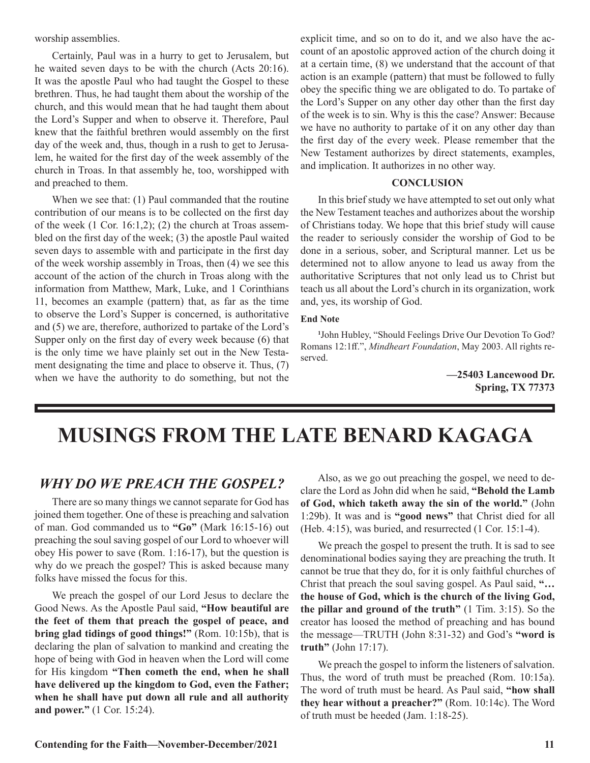worship assemblies.

Certainly, Paul was in a hurry to get to Jerusalem, but he waited seven days to be with the church (Acts 20:16). It was the apostle Paul who had taught the Gospel to these brethren. Thus, he had taught them about the worship of the church, and this would mean that he had taught them about the Lord's Supper and when to observe it. Therefore, Paul knew that the faithful brethren would assembly on the first day of the week and, thus, though in a rush to get to Jerusalem, he waited for the first day of the week assembly of the church in Troas. In that assembly he, too, worshipped with and preached to them.

When we see that: (1) Paul commanded that the routine contribution of our means is to be collected on the first day of the week  $(1 \text{ Cor. } 16:1,2)$ ;  $(2)$  the church at Troas assembled on the first day of the week; (3) the apostle Paul waited seven days to assemble with and participate in the first day of the week worship assembly in Troas, then (4) we see this account of the action of the church in Troas along with the information from Matthew, Mark, Luke, and 1 Corinthians 11, becomes an example (pattern) that, as far as the time to observe the Lord's Supper is concerned, is authoritative and (5) we are, therefore, authorized to partake of the Lord's Supper only on the first day of every week because (6) that is the only time we have plainly set out in the New Testament designating the time and place to observe it. Thus, (7) when we have the authority to do something, but not the

explicit time, and so on to do it, and we also have the account of an apostolic approved action of the church doing it at a certain time, (8) we understand that the account of that action is an example (pattern) that must be followed to fully obey the specific thing we are obligated to do. To partake of the Lord's Supper on any other day other than the first day of the week is to sin. Why is this the case? Answer: Because we have no authority to partake of it on any other day than the first day of the every week. Please remember that the New Testament authorizes by direct statements, examples, and implication. It authorizes in no other way.

#### **CONCLUSION**

In this brief study we have attempted to set out only what the New Testament teaches and authorizes about the worship of Christians today. We hope that this brief study will cause the reader to seriously consider the worship of God to be done in a serious, sober, and Scriptural manner. Let us be determined not to allow anyone to lead us away from the authoritative Scriptures that not only lead us to Christ but teach us all about the Lord's church in its organization, work and, yes, its worship of God.

#### **End Note**

**1** John Hubley, "Should Feelings Drive Our Devotion To God? Romans 12:1ff.", *Mindheart Foundation*, May 2003. All rights reserved.

> **—25403 Lancewood Dr. Spring, TX 77373**

# **MUSINGS FROM THE LATE BENARD KAGAGA**

## *WHY DO WE PREACH THE GOSPEL?*

There are so many things we cannot separate for God has joined them together. One of these is preaching and salvation of man. God commanded us to **"Go"** (Mark 16:15-16) out preaching the soul saving gospel of our Lord to whoever will obey His power to save (Rom. 1:16-17), but the question is why do we preach the gospel? This is asked because many folks have missed the focus for this.

We preach the gospel of our Lord Jesus to declare the Good News. As the Apostle Paul said, **"How beautiful are the feet of them that preach the gospel of peace, and bring glad tidings of good things!"** (Rom. 10:15b), that is declaring the plan of salvation to mankind and creating the hope of being with God in heaven when the Lord will come for His kingdom **"Then cometh the end, when he shall have delivered up the kingdom to God, even the Father; when he shall have put down all rule and all authority and power."** (1 Cor. 15:24).

Also, as we go out preaching the gospel, we need to declare the Lord as John did when he said, **"Behold the Lamb of God, which taketh away the sin of the world."** (John 1:29b). It was and is **"good news"** that Christ died for all (Heb. 4:15), was buried, and resurrected (1 Cor. 15:1-4).

We preach the gospel to present the truth. It is sad to see denominational bodies saying they are preaching the truth. It cannot be true that they do, for it is only faithful churches of Christ that preach the soul saving gospel. As Paul said, **"… the house of God, which is the church of the living God, the pillar and ground of the truth"** (1 Tim. 3:15). So the creator has loosed the method of preaching and has bound the message—TRUTH (John 8:31-32) and God's **"word is truth"** (John 17:17).

We preach the gospel to inform the listeners of salvation. Thus, the word of truth must be preached (Rom. 10:15a). The word of truth must be heard. As Paul said, **"how shall they hear without a preacher?"** (Rom. 10:14c). The Word of truth must be heeded (Jam. 1:18-25).